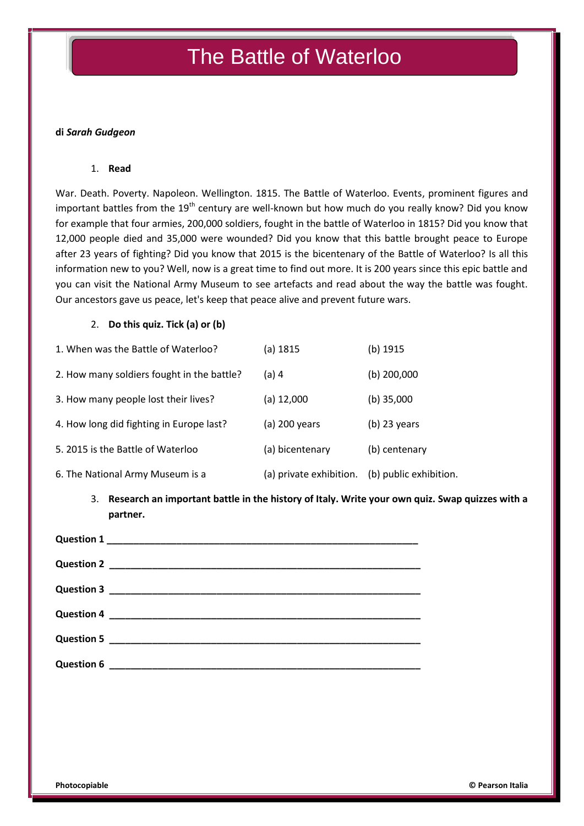# The Battle of Waterloo

#### **di** *Sarah Gudgeon*

#### 1. **Read**

War. Death. Poverty. Napoleon. Wellington. 1815. The Battle of Waterloo. Events, prominent figures and important battles from the  $19<sup>th</sup>$  century are well-known but how much do you really know? Did you know for example that four armies, 200,000 soldiers, fought in the battle of Waterloo in 1815? Did you know that 12,000 people died and 35,000 were wounded? Did you know that this battle brought peace to Europe after 23 years of fighting? Did you know that 2015 is the bicentenary of the Battle of Waterloo? Is all this information new to you? Well, now is a great time to find out more. It is 200 years since this epic battle and you can visit the National Army Museum to see artefacts and read about the way the battle was fought. Our ancestors gave us peace, let's keep that peace alive and prevent future wars.

#### 2. **Do this quiz. Tick (a) or (b)**

| 1. When was the Battle of Waterloo?        | (a) 1815                | (b) 1915               |
|--------------------------------------------|-------------------------|------------------------|
| 2. How many soldiers fought in the battle? | (a) 4                   | $(b)$ 200,000          |
| 3. How many people lost their lives?       | (a) 12,000              | (b) $35,000$           |
| 4. How long did fighting in Europe last?   | (a) 200 years           | $(b)$ 23 years         |
| 5. 2015 is the Battle of Waterloo          | (a) bicentenary         | (b) centenary          |
| 6. The National Army Museum is a           | (a) private exhibition. | (b) public exhibition. |

### 3. **Research an important battle in the history of Italy. Write your own quiz. Swap quizzes with a partner.**